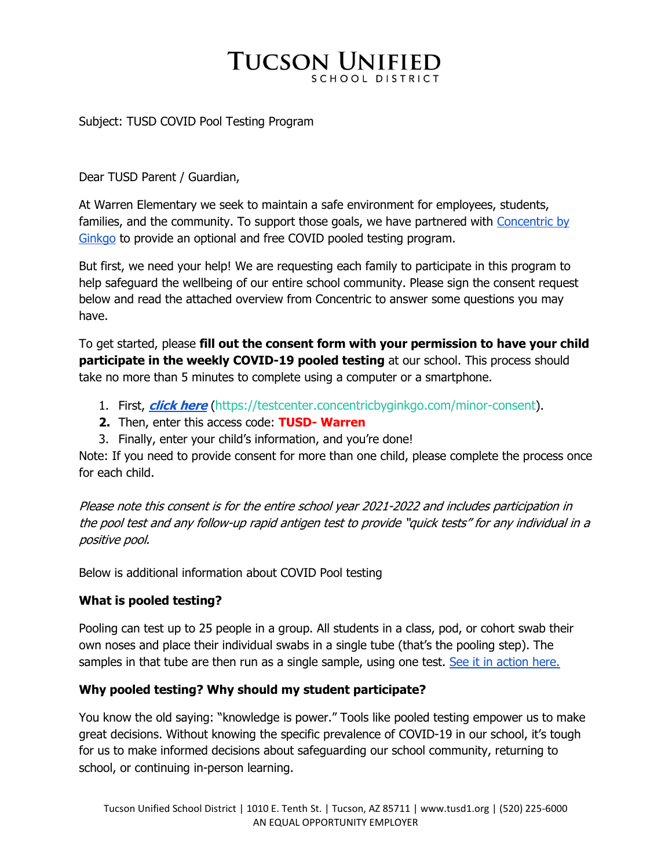# **TUCSON UNIFIED**

#### Subject: TUSD COVID Pool Testing Program

Dear TUSD Parent / Guardian,

At Warren Elementary we seek to maintain a safe environment for employees, students, families, and the community. To support those goals, we have partnered with Concentric by Ginkgo to provide an optional and free COVID pooled testing program.

But first, we need your help! We are requesting each family to participate in this program to help safeguard the wellbeing of our entire school community. Please sign the consent request below and read the attached overview from Concentric to answer some questions you may have.

To get started, please **fill out the consent form with your permission to have your child participate in the weekly COVID-19 pooled testing** at our school. This process should take no more than 5 minutes to complete using a computer or a smartphone.

- 1. First, **click here** (https://testcenter.concentricbyginkgo.com/minor-consent).
- **2.** Then, enter this access code: **TUSD- Warren**
- 3. Finally, enter your child's information, and you're done!

Note: If you need to provide consent for more than one child, please complete the process once for each child.

Please note this consent is for the entire school year 2021-2022 and includes participation in the pool test and any follow-up rapid antigen test to provide "quick tests" for any individual in a positive pool.

Below is additional information about COVID Pool testing

### **What is pooled testing?**

Pooling can test up to 25 people in a group. All students in a class, pod, or cohort swab their own noses and place their individual swabs in a single tube (that's the pooling step). The samples in that tube are then run as a single sample, using one test. See it in action here.

### **Why pooled testing? Why should my student participate?**

You know the old saying: "knowledge is power." Tools like pooled testing empower us to make great decisions. Without knowing the specific prevalence of COVID-19 in our school, it's tough for us to make informed decisions about safeguarding our school community, returning to school, or continuing in-person learning.